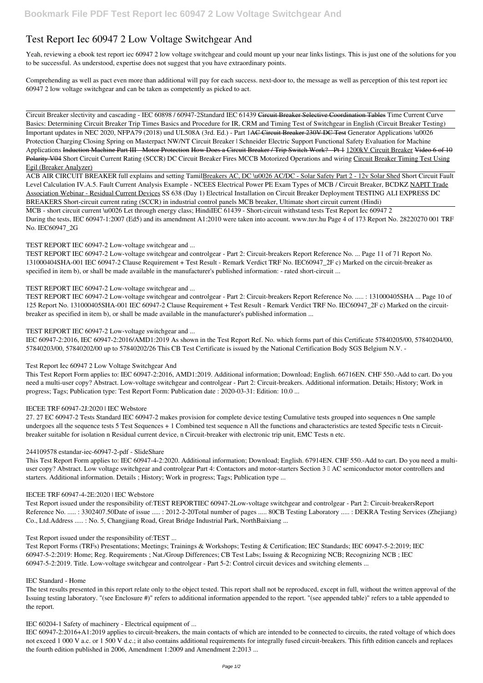# **Test Report Iec 60947 2 Low Voltage Switchgear And**

Yeah, reviewing a ebook **test report iec 60947 2 low voltage switchgear and** could mount up your near links listings. This is just one of the solutions for you to be successful. As understood, expertise does not suggest that you have extraordinary points.

Comprehending as well as pact even more than additional will pay for each success. next-door to, the message as well as perception of this test report iec 60947 2 low voltage switchgear and can be taken as competently as picked to act.

Circuit Breaker slectivity and cascading - IEC 60898 / 60947-2*Standard IEC 61439* Circuit Breaker Selective Coordination Tables *Time Current Curve Basics: Determining Circuit Breaker Trip Times Basics and Procedure for IR, CRM and Timing Test of Switchgear in English (Circuit Breaker Testing)* Important updates in NEC 2020, NFPA79 (2018) und UL508A (3rd. Ed.) - Part 1<del>AC Circuit Breaker 230V DC Test</del> Generator Applications \u0026 Protection Charging Closing Spring on Masterpact NW/NT Circuit Breaker | Schneider Electric Support **Functional Safety Evaluation for Machine** Applications Induction Machine Part III Motor Protection How Does a Circuit Breaker / Trip Switch Work? Pt 1 1200kV Circuit Breaker Video 6 of 10 Polarity V04 *Short Circuit Current Rating (SCCR) DC Circuit Breaker Fires MCCB Motorized Operations and wiring* Circuit Breaker Timing Test Using Egil (Breaker Analyzer)

ACB AIR CIRCUIT BREAKER full explains and setting TamilBreakers AC, DC \u0026 AC/DC - Solar Safety Part 2 - 12v Solar Shed *Short Circuit Fault Level Calculation* **IV.A.5. Fault Current Analysis Example - NCEES Electrical Power PE Exam Types of MCB / Circuit Breaker, BCDKZ** NAPIT Trade Association Webinar - Residual Current Devices *SS 638 (Day 1) Electrical Installation on Circuit Breaker Deployment TESTING ALI EXPRESS DC BREAKERS Short-circuit current rating (SCCR) in industrial control panels MCB breaker, Ultimate short circuit current (Hindi)*

MCB - short circuit current \u0026 Let through energy class; Hindi*IEC 61439 - Short-circuit withstand tests Test Report Iec 60947 2* During the tests, IEC 60947-1:2007 (Ed5) and its amendment A1:2010 were taken into account. www.tuv.hu Page 4 of 173 Report No. 28220270 001 TRF No. IEC60947\_2G

*TEST REPORT IEC 60947-2 Low-voltage switchgear and ...*

TEST REPORT IEC 60947-2 Low-voltage switchgear and controlgear - Part 2: Circuit-breakers Report Reference No. ... Page 11 of 71 Report No. 131000404SHA-001 IEC 60947-2 Clause Requirement + Test Result - Remark Verdict TRF No. IEC60947\_2F c) Marked on the circuit-breaker as specified in item b), or shall be made available in the manufacturer's published information: - rated short-circuit ...

# *TEST REPORT IEC 60947-2 Low-voltage switchgear and ...*

TEST REPORT IEC 60947-2 Low-voltage switchgear and controlgear - Part 2: Circuit-breakers Report Reference No. ..... : 131000405SHA ... Page 10 of 125 Report No. 131000405SHA-001 IEC 60947-2 Clause Requirement + Test Result - Remark Verdict TRF No. IEC60947\_2F c) Marked on the circuitbreaker as specified in item b), or shall be made available in the manufacturer's published information ...

*TEST REPORT IEC 60947-2 Low-voltage switchgear and ...*

IEC 60947-2:2016, IEC 60947-2:2016/AMD1:2019 As shown in the Test Report Ref. No. which forms part of this Certificate 57840205/00, 57840204/00, 57840203/00, 57840202/00 up to 57840202/26 This CB Test Certificate is issued by the National Certification Body SGS Belgium N.V. -

# *Test Report Iec 60947 2 Low Voltage Switchgear And*

This Test Report Form applies to: IEC 60947-2:2016, AMD1:2019. Additional information; Download; English. 66716EN. CHF 550.-Add to cart. Do you need a multi-user copy? Abstract. Low-voltage switchgear and controlgear - Part 2: Circuit-breakers. Additional information. Details; History; Work in progress; Tags; Publication type: Test Report Form: Publication date : 2020-03-31: Edition: 10.0 ...

# *IECEE TRF 60947-2J:2020 | IEC Webstore*

27. 27 EC 60947-2 Tests Standard IEC 60947-2 makes provision for complete device testing Cumulative tests grouped into sequences n One sample undergoes all the sequence tests 5 Test Sequences + 1 Combined test sequence n All the functions and characteristics are tested Specific tests n Circuitbreaker suitable for isolation n Residual current device, n Circuit-breaker with electronic trip unit, EMC Tests n etc.

# *244109578 estandar-iec-60947-2-pdf - SlideShare*

This Test Report Form applies to: IEC 60947-4-2:2020. Additional information; Download; English. 67914EN. CHF 550.-Add to cart. Do you need a multiuser copy? Abstract. Low voltage switchgear and controlgear Part 4: Contactors and motor-starters Section 3  $\parallel$  AC semiconductor motor controllers and starters. Additional information. Details ; History; Work in progress; Tags; Publication type ...

## *IECEE TRF 60947-4-2E:2020 | IEC Webstore*

Test Report issued under the responsibility of:TEST REPORTIEC 60947-2Low-voltage switchgear and controlgear - Part 2: Circuit-breakersReport Reference No. ..... : 3302407.50Date of issue ..... : 2012-2-20Total number of pages ..... 80CB Testing Laboratory ..... : DEKRA Testing Services (Zhejiang)

Co., Ltd.Address ..... : No. 5, Changjiang Road, Great Bridge Industrial Park, NorthBaixiang ...

#### *Test Report issued under the responsibility of:TEST ...*

Test Report Forms (TRFs) Presentations; Meetings; Trainings & Workshops; Testing & Certification; IEC Standards; IEC 60947-5-2:2019; IEC 60947-5-2:2019: Home; Reg. Requirements ; Nat./Group Differences; CB Test Labs; Issuing & Recognizing NCB; Recognizing NCB ; IEC 60947-5-2:2019. Title. Low-voltage switchgear and controlgear - Part 5-2: Control circuit devices and switching elements ...

#### *IEC Standard - Home*

The test results presented in this report relate only to the object tested. This report shall not be reproduced, except in full, without the written approval of the Issuing testing laboratory. "(see Enclosure #)" refers to additional information appended to the report. "(see appended table)" refers to a table appended to the report.

#### *IEC 60204-1 Safety of machinery - Electrical equipment of ...*

IEC 60947-2:2016+A1:2019 applies to circuit-breakers, the main contacts of which are intended to be connected to circuits, the rated voltage of which does not exceed 1 000 V a.c. or 1 500 V d.c.; it also contains additional requirements for integrally fused circuit-breakers. This fifth edition cancels and replaces the fourth edition published in 2006, Amendment 1:2009 and Amendment 2:2013 ...